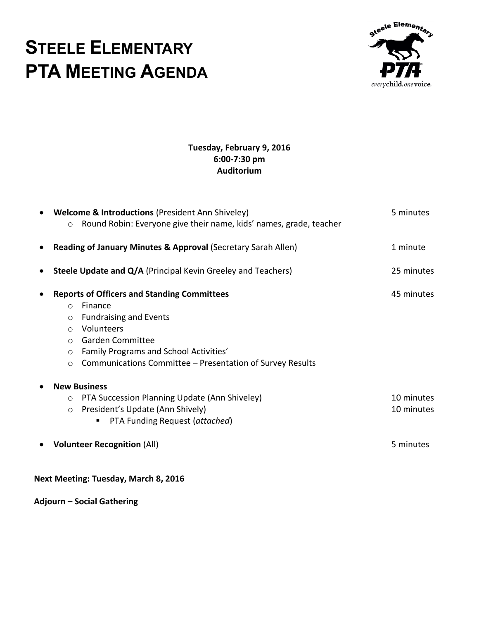## **STEELE ELEMENTARY PTA MEETING AGENDA**



## **Tuesday, February 9, 2016 6:00-7:30 pm Auditorium**

| $\bullet$ | <b>Welcome &amp; Introductions (President Ann Shiveley)</b><br>Round Robin: Everyone give their name, kids' names, grade, teacher<br>$\circ$                                                                                                                                                                        | 5 minutes                             |
|-----------|---------------------------------------------------------------------------------------------------------------------------------------------------------------------------------------------------------------------------------------------------------------------------------------------------------------------|---------------------------------------|
| $\bullet$ | Reading of January Minutes & Approval (Secretary Sarah Allen)                                                                                                                                                                                                                                                       | 1 minute                              |
| ٠         | <b>Steele Update and Q/A</b> (Principal Kevin Greeley and Teachers)                                                                                                                                                                                                                                                 | 25 minutes                            |
| $\bullet$ | <b>Reports of Officers and Standing Committees</b><br>Finance<br>$\circ$<br><b>Fundraising and Events</b><br>$\circ$<br>Volunteers<br>$\bigcirc$<br><b>Garden Committee</b><br>$\circ$<br>Family Programs and School Activities'<br>$\circ$<br>Communications Committee – Presentation of Survey Results<br>$\circ$ | 45 minutes                            |
|           | <b>New Business</b><br>PTA Succession Planning Update (Ann Shiveley)<br>$\circ$<br>President's Update (Ann Shively)<br>$\circ$<br>PTA Funding Request (attached)<br><b>Volunteer Recognition (All)</b>                                                                                                              | 10 minutes<br>10 minutes<br>5 minutes |

**Next Meeting: Tuesday, March 8, 2016**

**Adjourn – Social Gathering**